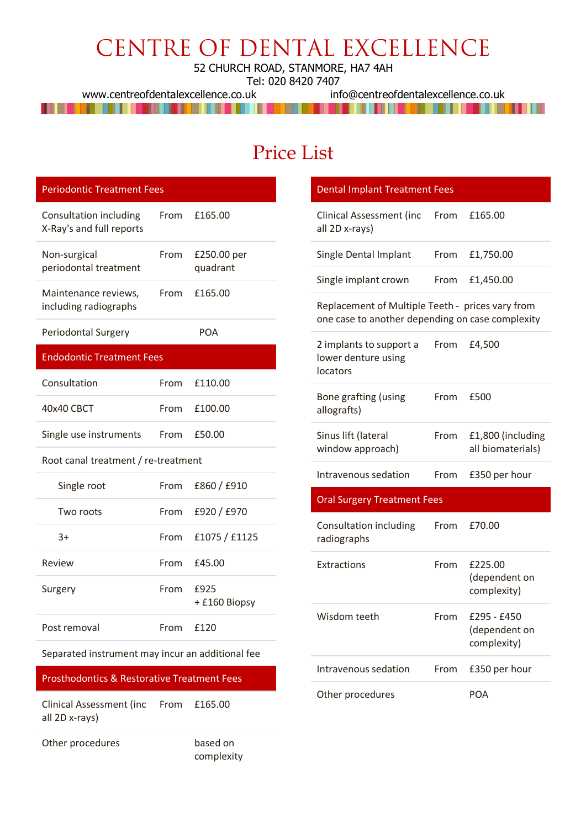## CENTRE OF DENTAL EXCELLENCE

52 CHURCH ROAD, STANMORE, HA7 4AH

www.centreofdentalexcellence.co.uk

Tel: 020 8420 7407<br>uk info@centreofdentalexcellence.co.uk THE STATE OF THE RESIDENCE IN THE RESIDENCE OF THE RESIDENCE OF THE RESIDENCE OF THE RESIDENCE OF THE RESIDENCE

## Price List

| <b>Periodontic Treatment Fees</b>                      |      |                         |
|--------------------------------------------------------|------|-------------------------|
| Consultation including<br>X-Ray's and full reports     | From | £165.00                 |
| Non-surgical<br>periodontal treatment                  | From | £250.00 per<br>quadrant |
|                                                        |      |                         |
| Maintenance reviews,<br>including radiographs          | From | £165.00                 |
| Periodontal Surgery                                    |      | <b>POA</b>              |
| <b>Endodontic Treatment Fees</b>                       |      |                         |
| Consultation                                           | From | £110.00                 |
| 40x40 CBCT                                             | From | £100.00                 |
| Single use instruments                                 | From | £50.00                  |
| Root canal treatment / re-treatment                    |      |                         |
| Single root                                            | From | £860 / £910             |
| Two roots                                              | From | £920 / £970             |
| $3+$                                                   | From | £1075 / £1125           |
| Review                                                 | From | £45.00                  |
| Surgery                                                | From | £925<br>+ £160 Biopsy   |
| Post removal                                           | From | £120                    |
| Separated instrument may incur an additional fee       |      |                         |
| <b>Prosthodontics &amp; Restorative Treatment Fees</b> |      |                         |
| <b>Clinical Assessment (inc</b><br>all 2D x-rays)      | From | £165.00                 |
| Other procedures                                       |      | based on<br>complexity  |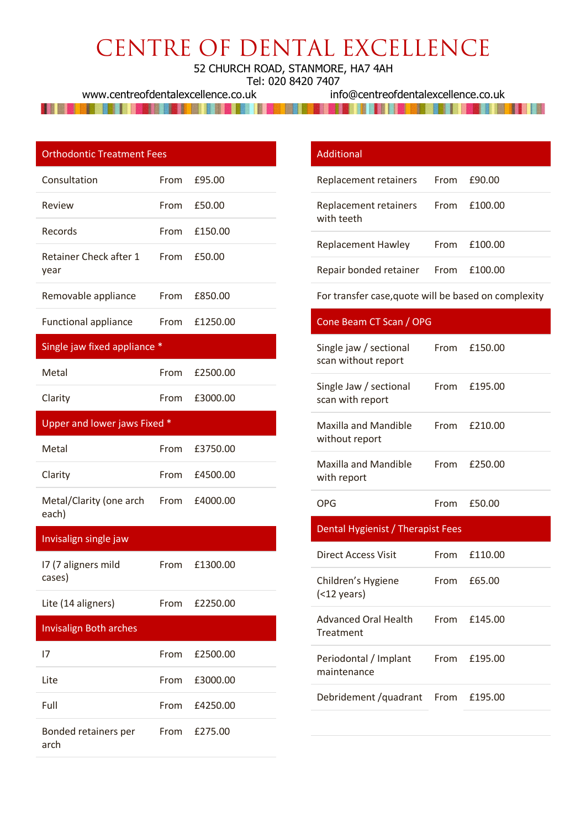# CENTRE OF DENTAL EXCELLENCE

52 CHURCH ROAD, STANMORE, HA7 4AH

Tel: 020 8420 7407

www.centreofdentalexcellence.co.uk info@centreofdentalexcellence.co.uk

<u>I se objevan se na na matematičnog koja i se objevan se objevan se objevan se objevan se objevan se objevan se</u> **HERE IN HERE IN THE REAL PROPERTY OF A STATE OF A STATE OF A STATE OF A STATE OF A STATE OF A STATE OF A STATE** 

|  |  | <b>Orthodontic Treatment Fees</b> |  |
|--|--|-----------------------------------|--|
|  |  |                                   |  |

| Consultation                        |      | From £95.00   |
|-------------------------------------|------|---------------|
| Review                              | From | £50.00        |
| Records                             |      | From £150.00  |
| Retainer Check after 1 From<br>year |      | £50.00        |
| Removable appliance                 |      | From £850.00  |
| <b>Functional appliance</b>         |      | From £1250.00 |

#### Single jaw fixed appliance \*

| Metal   | From £2500.00 |
|---------|---------------|
| Clarity | From £3000.00 |

#### Upper and lower jaws Fixed \*

| Metal                                          | From £3750.00 |
|------------------------------------------------|---------------|
| Clarity                                        | From £4500.00 |
| Metal/Clarity (one arch From £4000.00<br>each) |               |

#### Invisalign single jaw

| 17 (7 aligners mild | From £1300.00 |
|---------------------|---------------|
| cases)              |               |

Lite (14 aligners) From £2250.00

### Invisalign Both arches I7 From £2500.00 Lite From £3000.00

| Full                         | From £4250.00 |  |
|------------------------------|---------------|--|
| Bonded retainers per<br>arch | From £275.00  |  |

# Additional

| Replacement retainers From £90.00                |              |
|--------------------------------------------------|--------------|
| Replacement retainers From £100.00<br>with teeth |              |
| <b>Replacement Hawley</b>                        | From £100.00 |
| Repair bonded retainer From £100.00              |              |

For transfer case,quote will be based on complexity

| Cone Beam CT Scan / OPG                       |      |         |
|-----------------------------------------------|------|---------|
| Single jaw / sectional<br>scan without report | From | £150.00 |
| Single Jaw / sectional<br>scan with report    | From | £195.00 |
| <b>Maxilla and Mandible</b><br>without report | From | £210.00 |
| <b>Maxilla and Mandible</b><br>with report    | From | £250.00 |
| <b>OPG</b>                                    | From | £50.00  |
|                                               |      |         |
| Dental Hygienist / Therapist Fees             |      |         |
| Direct Access Visit                           | From | £110.00 |
| Children's Hygiene<br>$($ $12$ years)         | From | £65.00  |
| <b>Advanced Oral Health</b><br>Treatment      | From | £145.00 |
| Periodontal / Implant<br>maintenance          | From | £195.00 |
| Debridement / quadrant                        | From | £195.00 |